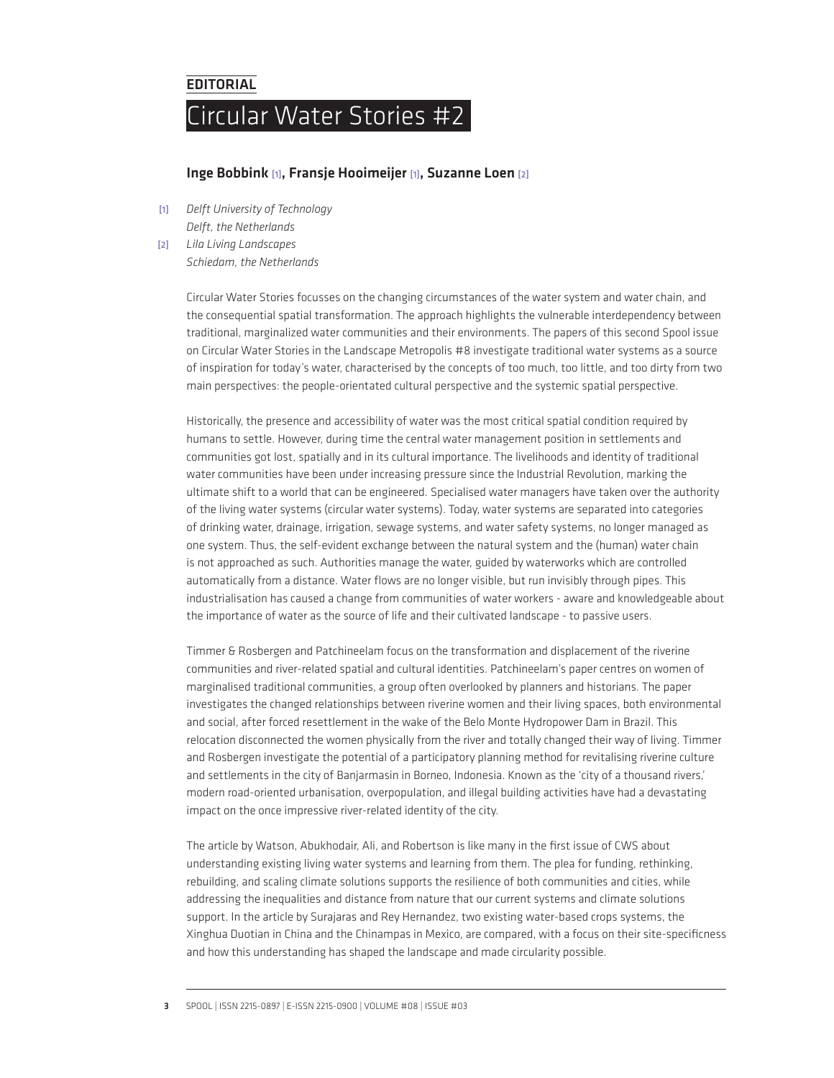## **EDITORIAL**

## Circular Water Stories #2

## Inge Bobbink [1], Fransje Hooimeijer [1], Suzanne Loen [2]

[1] *Delft University of Technology Delft, the Netherlands*

[2] *Lila Living Landscapes*

*Schiedam, the Netherlands*

Circular Water Stories focusses on the changing circumstances of the water system and water chain, and the consequential spatial transformation. The approach highlights the vulnerable interdependency between traditional, marginalized water communities and their environments. The papers of this second Spool issue on Circular Water Stories in the Landscape Metropolis #8 investigate traditional water systems as a source of inspiration for today's water, characterised by the concepts of too much, too little, and too dirty from two main perspectives: the people-orientated cultural perspective and the systemic spatial perspective.

Historically, the presence and accessibility of water was the most critical spatial condition required by humans to settle. However, during time the central water management position in settlements and communities got lost, spatially and in its cultural importance. The livelihoods and identity of traditional water communities have been under increasing pressure since the Industrial Revolution, marking the ultimate shift to a world that can be engineered. Specialised water managers have taken over the authority of the living water systems (circular water systems). Today, water systems are separated into categories of drinking water, drainage, irrigation, sewage systems, and water safety systems, no longer managed as one system. Thus, the self-evident exchange between the natural system and the (human) water chain is not approached as such. Authorities manage the water, guided by waterworks which are controlled automatically from a distance. Water flows are no longer visible, but run invisibly through pipes. This industrialisation has caused a change from communities of water workers - aware and knowledgeable about the importance of water as the source of life and their cultivated landscape - to passive users.

Timmer & Rosbergen and Patchineelam focus on the transformation and displacement of the riverine communities and river-related spatial and cultural identities. Patchineelam's paper centres on women of marginalised traditional communities, a group often overlooked by planners and historians. The paper investigates the changed relationships between riverine women and their living spaces, both environmental and social, after forced resettlement in the wake of the Belo Monte Hydropower Dam in Brazil. This relocation disconnected the women physically from the river and totally changed their way of living. Timmer and Rosbergen investigate the potential of a participatory planning method for revitalising riverine culture and settlements in the city of Banjarmasin in Borneo, Indonesia. Known as the 'city of a thousand rivers,' modern road-oriented urbanisation, overpopulation, and illegal building activities have had a devastating impact on the once impressive river-related identity of the city.

The article by Watson, Abukhodair, Ali, and Robertson is like many in the first issue of CWS about understanding existing living water systems and learning from them. The plea for funding, rethinking, rebuilding, and scaling climate solutions supports the resilience of both communities and cities, while addressing the inequalities and distance from nature that our current systems and climate solutions support. In the article by Surajaras and Rey Hernandez, two existing water-based crops systems, the Xinghua Duotian in China and the Chinampas in Mexico, are compared, with a focus on their site-specificness and how this understanding has shaped the landscape and made circularity possible.